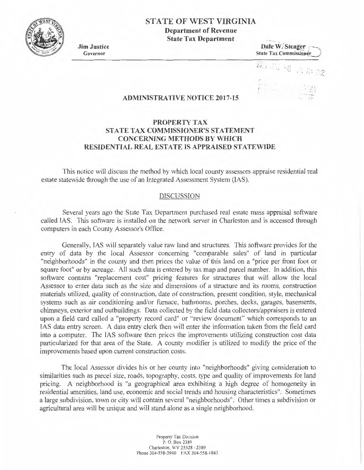

# **STATE OF WEST VIRGINIA**

**Department of Revenue State Tax Department** 

**Jim Justice**  Governor

Date W. Steager<br>State Tax Commissioner

*u.i.*  $\frac{1}{2}$   $\frac{1}{2}$   $\frac{1}{2}$   $\frac{1}{2}$ 

**'•1 <sup>1</sup>** *! .* •

### **ADMINISTRATIVE NOTICE 2017-15**

## **PROPERTY TAX STATE TAX COMMISSIONER'S STATEMENT CONCERNING METHODS BY WHICH RESIDENTIAL REAL ESTATE IS APPRAISED STATEWIDE**

This notice will discuss the method by which local county assessors appraise residential real estate statewide through the use of an Integrated Assessment System (IAS).

#### DISCUSSION

Several years ago the State Tax Department purchased real estate mass appraisal software called IAS. This software is installed on the network server in Charleston and is accessed through computers in each County Assessor's Office.

Generally, IAS will separately value raw land and structures. This software provides for the entry of data by the local Assessor concerning "comparable sales" of land in particular "neighborhoods" in the county and then prices the value of this land on a "price per front foot or square foot" or by acreage. All such data is entered by tax map and parcel number. In addition, this software contains "replacement cost" pricing features for structures that will allow the local Assessor to enter data such as the size and dimensions of a structure and its rooms, construction materials utilized, quality of construction, date of construction, present condition, style, mechanical systems such as air conditioning and/or furnace, bathrooms, porches, decks, garages, basements, chimneys, exterior and outbuildings. Data collected by the field data collectors/appraisers is entered upon a field card called a "property record card" or "review document" which corresponds to an IAS data entry screen. A data entry clerk then will enter the information taken from the field card into a computer. The IAS software then prices the improvements utilizing construction cost data particularized for that area of the State. A county modifier is utilized to modify the price of the improvements based upon current construction costs.

The local Assessor divides his or her county into "neighborhoods" giving consideration to similarities such as parcel size, roads, topography, costs, type and quality of improvements for land pricing. A neighborhood is "a geographical area exhibiting a high degree of homogeneity in residential amenities. land use, economic and social trends and housing characteristics". Sometimes a large subdivision, town or city will contain several "neighborhoods". Other times a subdivision or agricultural area will be unique and will stand alone as a single neighborhood.

> Property Tax Division P. O. Box 2389 Charleston, WV 25328 - 2389 Phone 304-558-3940 FAX 304-558-1843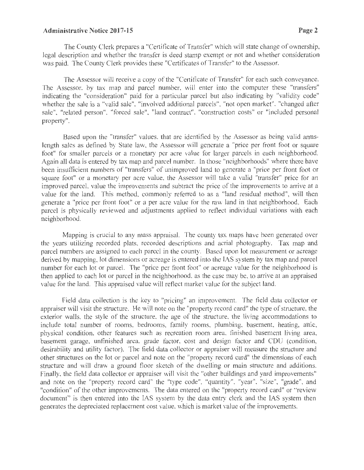### **Administrative Notice 2017-15 Page2**

The County Clerk prepares a "Certificate of Transfer" which will state change of ownership, legal description and whether the transfer is deed stamp exempt or not and whether consideration was paid. The County Clerk provides these "Certificates of Transfer" to the Assessor.

The Assessor will receive a copy of the "Certificate of Transfer" for each such conveyance. The Assessor, by tax map and parcel number, will enter into the computer these "transfers" indicating the "consideration" paid for a particular parcel but also indicating by "validity code" whether the sale is a "valid sale", "involved additional parcels", "not open market", "changed after sale", "related person", "forced sale", "land contract", "construction costs" or "included personal property".

Based upon the "transfer" values, that are identified by the Assessor as being valid armslength sales as defined by State law, the Assessor will generate a "price per front foot or square foot" for smaller parcels or a monetary per acre value for larger parcels in each neighborhood. Again all data is entered by tax map and parcel number. In those "neighborhoods" where there have been insufficient numbers of "transfers" of unimproved land to generate a "price per front foot or square foot" or a monetary per acre value, the Assessor will take a valid "transfer" price for an improved parcel, value the improvements and subtract the price of the improvements to arrive at a value for the land. This method, commonly referred to as a "land residual method", will then generate a "price per front foot" or a per acre value for the raw land in that neighborhood. Each parcel is physically reviewed and adjustments applied to reflect individual variations with each neighborhood.

Mapping is crucial to any mass appraisal. The county tax maps have been generated over the years utilizing recorded plats, recorded descriptions and aerial photography. Tax map and parcel numbers are assigned to each parcel in the county. Based upon lot measurement or acreage derived by mapping, lot dimensions or acreage is entered into the IAS system by tax map and parcel number for each lot or parcel. The "price per front foot" or acreage value for the neighborhood is then applied to each lot or parcel in the neighborhood, as the case may be, to arrive at an appraised value for the land. This appraised value will reflect market value for the subject land.

Field data collection is the key to "pricing" an improvement. The field data collector or appraiser will visit the structure. He will note on the "property record card" the type of structure, the exterior walls, the style of the structure. the age of the structure, the living accommodations to include total nwnber of rooms, bedrooms, family rooms, plumbing, basement, heating, attic, physical condition, other features such as recreation room area, finished basement living area, basement garage, unfinished area, grade factor, cost and design factor and CDU (condition, desirability and utility factor). The field data collector or appraiser will measure the structure and other structures on the lot or parcel and note on the "property record card" the dimensions of each structure and will draw a ground floor sketch of the dwelling or main structure and additions. Finally, the field data collector or appraiser will visit the "other buildings and yard improvements" and note on the "property record card" the "type code", "quantity". "year", "size", "grade", and "condition" of the other improvements. The data entered on the "property record card" or "review document" is then entered into the IAS system by the data entry clerk and the IAS system then generates the depreciated replacement cost value, which is market value of the improvements.